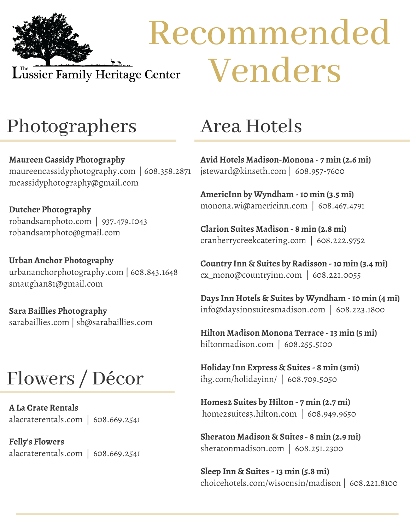

# Recommended Venders

## Photographers

**Maureen Cassidy Photography** maureencassidyphotography.com | 608.358.2871 mcassidyphotography@gmail.com

**Dutcher Photography** robandsamphoto.com | 937.479.1043 robandsamphoto@gmail.com

**Urban Anchor Photography** urbananchorphotography.com | 608.843.1648 smaughan81@gmail.com

**Sara Baillies Photography** sarabaillies.com | sb@sarabaillies.com

## Flowers / Décor

**A La Crate Rentals** alacraterentals.com | 608.669.2541

**Felly's Flowers** alacraterentals.com | 608.669.2541

#### Area Hotels

**Avid Hotels Madison-Monona - 7 min (2.6 mi)** jsteward@kinseth.com | 608.957-7600

**AmericInn by Wyndham -10 min (3.5 mi)** monona.wi@americinn.com | 608.467.4791

**Clarion Suites Madison - 8 min (2.8 mi)** cranberrycreekcatering.com | 608.222.9752

**Country Inn & Suites by Radisson -10 min (3.4 mi)** cx\_mono@countryinn.com | 608.221.0055

**Days Inn Hotels & Suites by Wyndham -10 min (4 mi)** info@daysinnsuitesmadison.com | 608.223.1800

**Hilton Madison Monona Terrace -13 min (5 mi)** hiltonmadison.com | 608.255.5100

**Holiday Inn Express & Suites - 8 min (3mi)** ihg.com/holidayinn/ | 608.709.5050

**Homes2 Suites by Hilton - 7 min (2.7 mi)** home2suites3.hilton.com | 608.949.9650

**Sheraton Madison & Suites - 8 min (2.9 mi)** sheratonmadison.com | 608.251.2300

**Sleep Inn & Suites -13 min (5.8 mi)** choicehotels.com/wisocnsin/madison | 608.221.8100